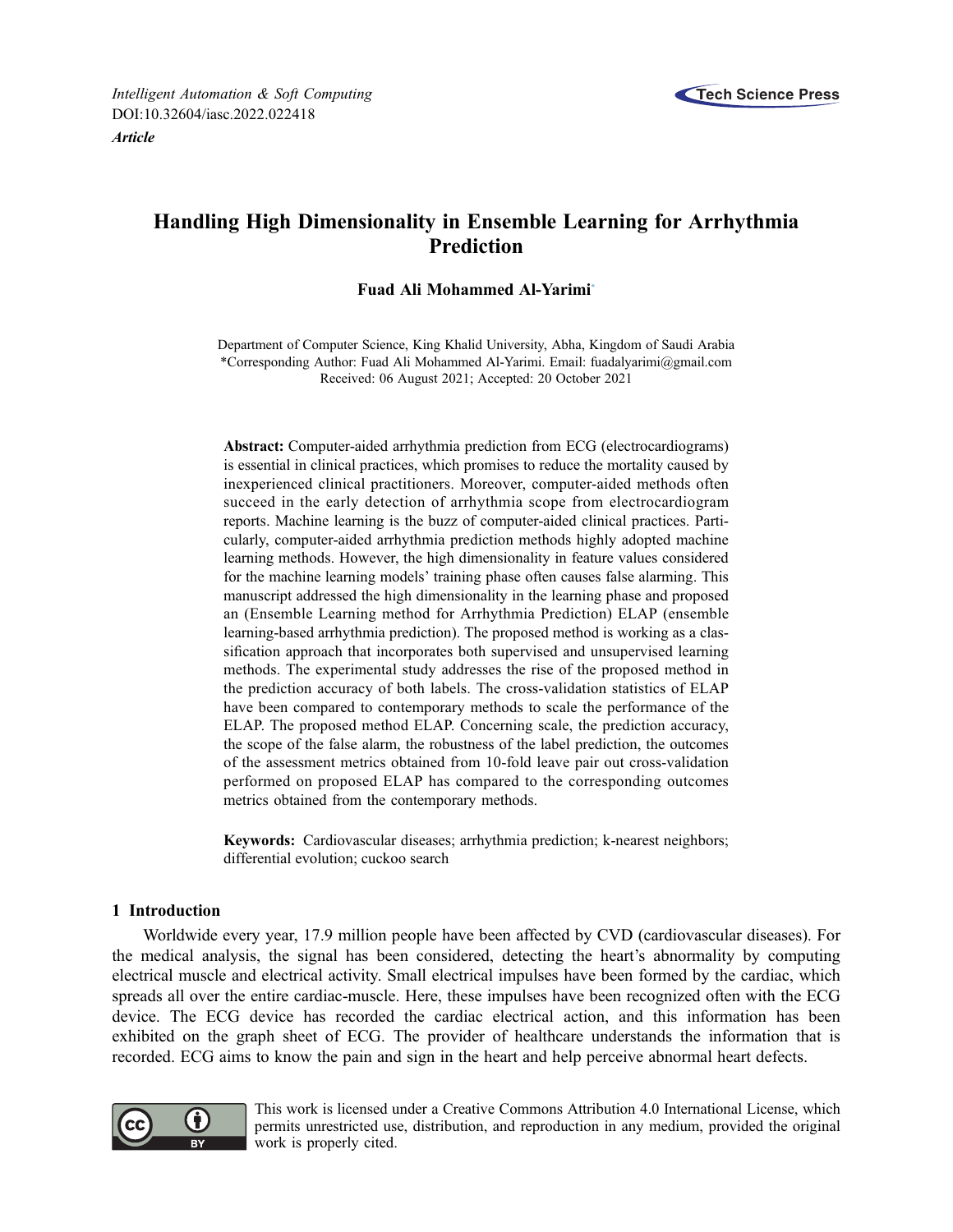

# Handling High Dimensionality in Ensemble Learning for Arrhythmia Prediction

# Fuad Ali Mohammed Al-Yarimi[\\*](#page-0-0)

<span id="page-0-0"></span>Department of Computer Science, King Khalid University, Abha, Kingdom of Saudi Arabia \*Corresponding Author: Fuad Ali Mohammed Al-Yarimi. Email: [fuadalyarimi@gmail.com](mailto:fuadalyarimi@gmail.com) Received: 06 August 2021; Accepted: 20 October 2021

Abstract: Computer-aided arrhythmia prediction from ECG (electrocardiograms) is essential in clinical practices, which promises to reduce the mortality caused by inexperienced clinical practitioners. Moreover, computer-aided methods often succeed in the early detection of arrhythmia scope from electrocardiogram reports. Machine learning is the buzz of computer-aided clinical practices. Particularly, computer-aided arrhythmia prediction methods highly adopted machine learning methods. However, the high dimensionality in feature values considered for the machine learning models' training phase often causes false alarming. This manuscript addressed the high dimensionality in the learning phase and proposed an (Ensemble Learning method for Arrhythmia Prediction) ELAP (ensemble learning-based arrhythmia prediction). The proposed method is working as a classification approach that incorporates both supervised and unsupervised learning methods. The experimental study addresses the rise of the proposed method in the prediction accuracy of both labels. The cross-validation statistics of ELAP have been compared to contemporary methods to scale the performance of the ELAP. The proposed method ELAP. Concerning scale, the prediction accuracy, the scope of the false alarm, the robustness of the label prediction, the outcomes of the assessment metrics obtained from 10-fold leave pair out cross-validation performed on proposed ELAP has compared to the corresponding outcomes metrics obtained from the contemporary methods.

Keywords: Cardiovascular diseases; arrhythmia prediction; k-nearest neighbors; differential evolution; cuckoo search

# 1 Introduction

Worldwide every year, 17.9 million people have been affected by CVD (cardiovascular diseases). For the medical analysis, the signal has been considered, detecting the heart's abnormality by computing electrical muscle and electrical activity. Small electrical impulses have been formed by the cardiac, which spreads all over the entire cardiac-muscle. Here, these impulses have been recognized often with the ECG device. The ECG device has recorded the cardiac electrical action, and this information has been exhibited on the graph sheet of ECG. The provider of healthcare understands the information that is recorded. ECG aims to know the pain and sign in the heart and help perceive abnormal heart defects.



This work is licensed under a Creative Commons Attribution 4.0 International License, which permits unrestricted use, distribution, and reproduction in any medium, provided the original work is properly cited.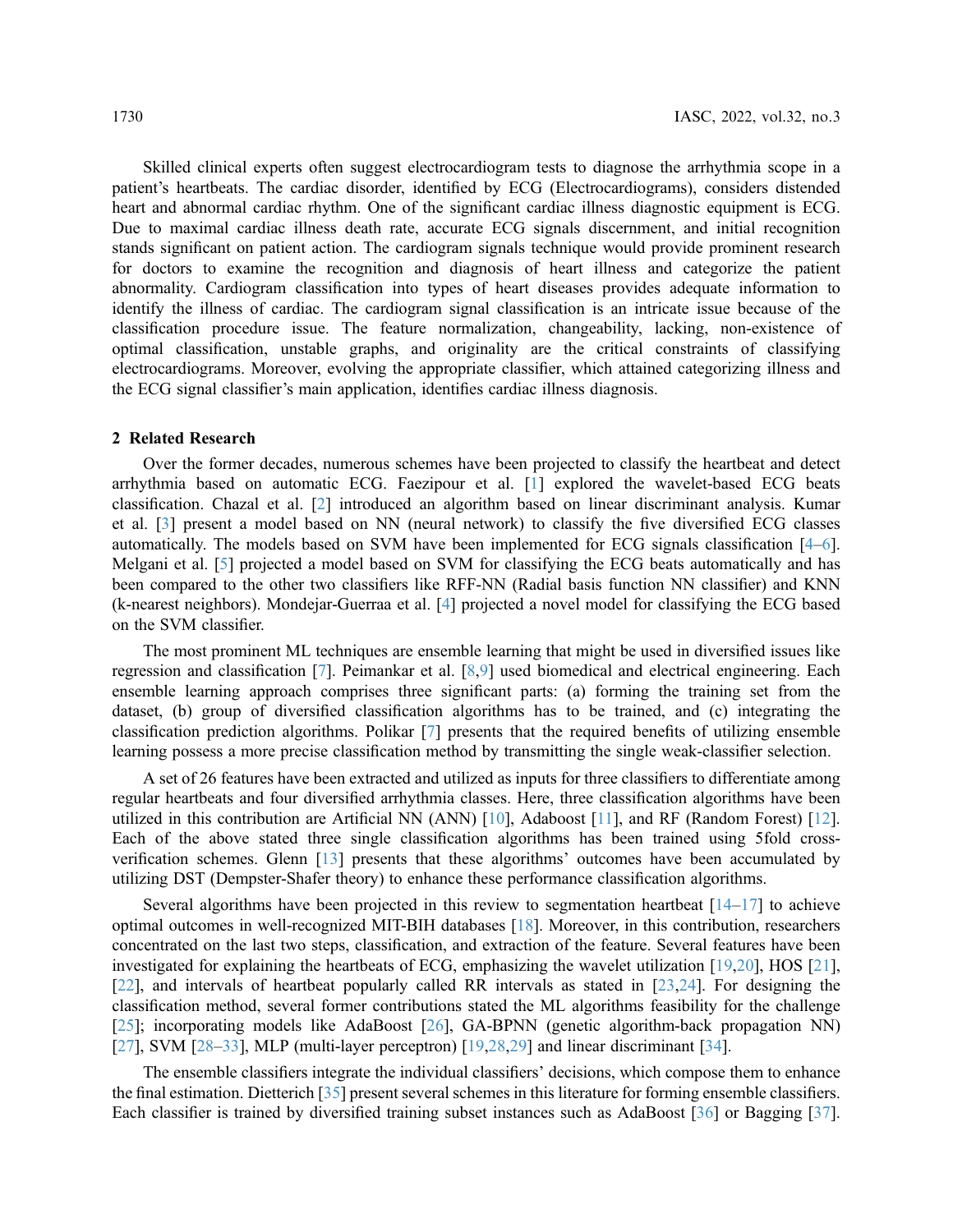Skilled clinical experts often suggest electrocardiogram tests to diagnose the arrhythmia scope in a patient's heartbeats. The cardiac disorder, identified by ECG (Electrocardiograms), considers distended heart and abnormal cardiac rhythm. One of the significant cardiac illness diagnostic equipment is ECG. Due to maximal cardiac illness death rate, accurate ECG signals discernment, and initial recognition stands significant on patient action. The cardiogram signals technique would provide prominent research for doctors to examine the recognition and diagnosis of heart illness and categorize the patient abnormality. Cardiogram classification into types of heart diseases provides adequate information to identify the illness of cardiac. The cardiogram signal classification is an intricate issue because of the classification procedure issue. The feature normalization, changeability, lacking, non-existence of optimal classification, unstable graphs, and originality are the critical constraints of classifying electrocardiograms. Moreover, evolving the appropriate classifier, which attained categorizing illness and the ECG signal classifier's main application, identifies cardiac illness diagnosis.

#### 2 Related Research

Over the former decades, numerous schemes have been projected to classify the heartbeat and detect arrhythmia based on automatic ECG. Faezipour et al. [[1](#page-10-0)] explored the wavelet-based ECG beats classification. Chazal et al. [[2](#page-11-0)] introduced an algorithm based on linear discriminant analysis. Kumar et al. [[3](#page-11-1)] present a model based on NN (neural network) to classify the five diversified ECG classes automatically. The models based on SVM have been implemented for ECG signals classification [\[4](#page-11-2)–[6\]](#page-11-3). Melgani et al. [\[5\]](#page-11-4) projected a model based on SVM for classifying the ECG beats automatically and has been compared to the other two classifiers like RFF-NN (Radial basis function NN classifier) and KNN (k-nearest neighbors). Mondejar-Guerraa et al. [[4](#page-11-2)] projected a novel model for classifying the ECG based on the SVM classifier.

The most prominent ML techniques are ensemble learning that might be used in diversified issues like regression and classification [\[7\]](#page-11-5). Peimankar et al. [\[8,](#page-11-6)[9\]](#page-11-7) used biomedical and electrical engineering. Each ensemble learning approach comprises three significant parts: (a) forming the training set from the dataset, (b) group of diversified classification algorithms has to be trained, and (c) integrating the classification prediction algorithms. Polikar [\[7\]](#page-11-5) presents that the required benefits of utilizing ensemble learning possess a more precise classification method by transmitting the single weak-classifier selection.

A set of 26 features have been extracted and utilized as inputs for three classifiers to differentiate among regular heartbeats and four diversified arrhythmia classes. Here, three classification algorithms have been utilized in this contribution are Artificial NN (ANN) [[10](#page-11-8)], Adaboost [[11](#page-11-9)], and RF (Random Forest) [[12\]](#page-11-10). Each of the above stated three single classification algorithms has been trained using 5fold crossverification schemes. Glenn [\[13](#page-11-11)] presents that these algorithms' outcomes have been accumulated by utilizing DST (Dempster-Shafer theory) to enhance these performance classification algorithms.

Several algorithms have been projected in this review to segmentation heartbeat  $[14-17]$  $[14-17]$  $[14-17]$  $[14-17]$  to achieve optimal outcomes in well-recognized MIT-BIH databases [[18\]](#page-11-14). Moreover, in this contribution, researchers concentrated on the last two steps, classification, and extraction of the feature. Several features have been investigated for explaining the heartbeats of ECG, emphasizing the wavelet utilization [[19,](#page-11-15)[20](#page-11-16)], HOS [[21\]](#page-11-17), [[22](#page-11-18)], and intervals of heartbeat popularly called RR intervals as stated in [[23,](#page-11-19)[24](#page-12-0)]. For designing the classification method, several former contributions stated the ML algorithms feasibility for the challenge [[25](#page-12-1)]; incorporating models like AdaBoost [\[26](#page-12-2)], GA-BPNN (genetic algorithm-back propagation NN) [[27](#page-12-3)], SVM [\[28](#page-12-4)–[33\]](#page-12-5), MLP (multi-layer perceptron) [\[19](#page-11-15)[,28,](#page-12-4)[29\]](#page-12-6) and linear discriminant [\[34](#page-12-7)].

The ensemble classifiers integrate the individual classifiers' decisions, which compose them to enhance the final estimation. Dietterich [[35\]](#page-12-8) present several schemes in this literature for forming ensemble classifiers. Each classifier is trained by diversified training subset instances such as AdaBoost [[36\]](#page-12-9) or Bagging [[37\]](#page-12-10).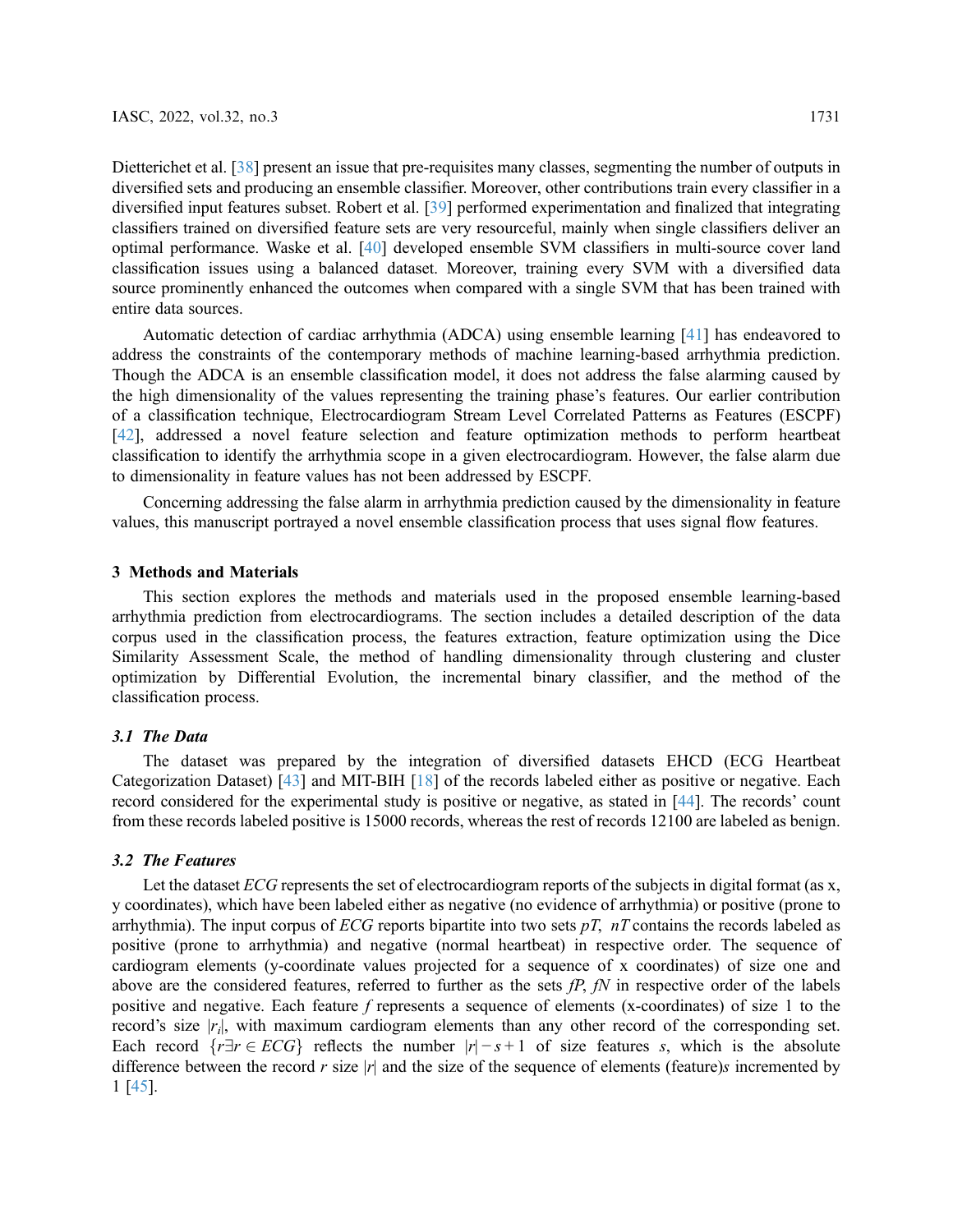Dietterichet et al. [\[38](#page-12-11)] present an issue that pre-requisites many classes, segmenting the number of outputs in diversified sets and producing an ensemble classifier. Moreover, other contributions train every classifier in a diversified input features subset. Robert et al. [\[39](#page-12-12)] performed experimentation and finalized that integrating classifiers trained on diversified feature sets are very resourceful, mainly when single classifiers deliver an optimal performance. Waske et al. [\[40](#page-12-13)] developed ensemble SVM classifiers in multi-source cover land classification issues using a balanced dataset. Moreover, training every SVM with a diversified data source prominently enhanced the outcomes when compared with a single SVM that has been trained with entire data sources.

Automatic detection of cardiac arrhythmia (ADCA) using ensemble learning [\[41](#page-12-14)] has endeavored to address the constraints of the contemporary methods of machine learning-based arrhythmia prediction. Though the ADCA is an ensemble classification model, it does not address the false alarming caused by the high dimensionality of the values representing the training phase's features. Our earlier contribution of a classification technique, Electrocardiogram Stream Level Correlated Patterns as Features (ESCPF) [[42](#page-12-15)], addressed a novel feature selection and feature optimization methods to perform heartbeat classification to identify the arrhythmia scope in a given electrocardiogram. However, the false alarm due to dimensionality in feature values has not been addressed by ESCPF.

Concerning addressing the false alarm in arrhythmia prediction caused by the dimensionality in feature values, this manuscript portrayed a novel ensemble classification process that uses signal flow features.

### 3 Methods and Materials

This section explores the methods and materials used in the proposed ensemble learning-based arrhythmia prediction from electrocardiograms. The section includes a detailed description of the data corpus used in the classification process, the features extraction, feature optimization using the Dice Similarity Assessment Scale, the method of handling dimensionality through clustering and cluster optimization by Differential Evolution, the incremental binary classifier, and the method of the classification process.

The dataset was prepared by the integration of diversified datasets EHCD (ECG Heartbeat Categorization Dataset) [\[43](#page-12-16)] and MIT-BIH [[18](#page-11-14)] of the records labeled either as positive or negative. Each record considered for the experimental study is positive or negative, as stated in [[44\]](#page-12-17). The records' count from these records labeled positive is 15000 records, whereas the rest of records 12100 are labeled as benign.

### 3.2 The Features

Let the dataset  $ECG$  represents the set of electrocardiogram reports of the subjects in digital format (as x, y coordinates), which have been labeled either as negative (no evidence of arrhythmia) or positive (prone to arrhythmia). The input corpus of ECG reports bipartite into two sets  $pT$ ,  $nT$  contains the records labeled as positive (prone to arrhythmia) and negative (normal heartbeat) in respective order. The sequence of cardiogram elements (y-coordinate values projected for a sequence of x coordinates) of size one and above are the considered features, referred to further as the sets  $fP$ ,  $fN$  in respective order of the labels positive and negative. Each feature f represents a sequence of elements (x-coordinates) of size 1 to the record's size  $|r_i|$ , with maximum cardiogram elements than any other record of the corresponding set. Each record  $\{r \exists r \in ECG\}$  reflects the number  $|r| - s + 1$  of size features s, which is the absolute difference between the record r size |r| and the size of the sequence of elements (feature)s incremented by 1 [\[45](#page-12-18)].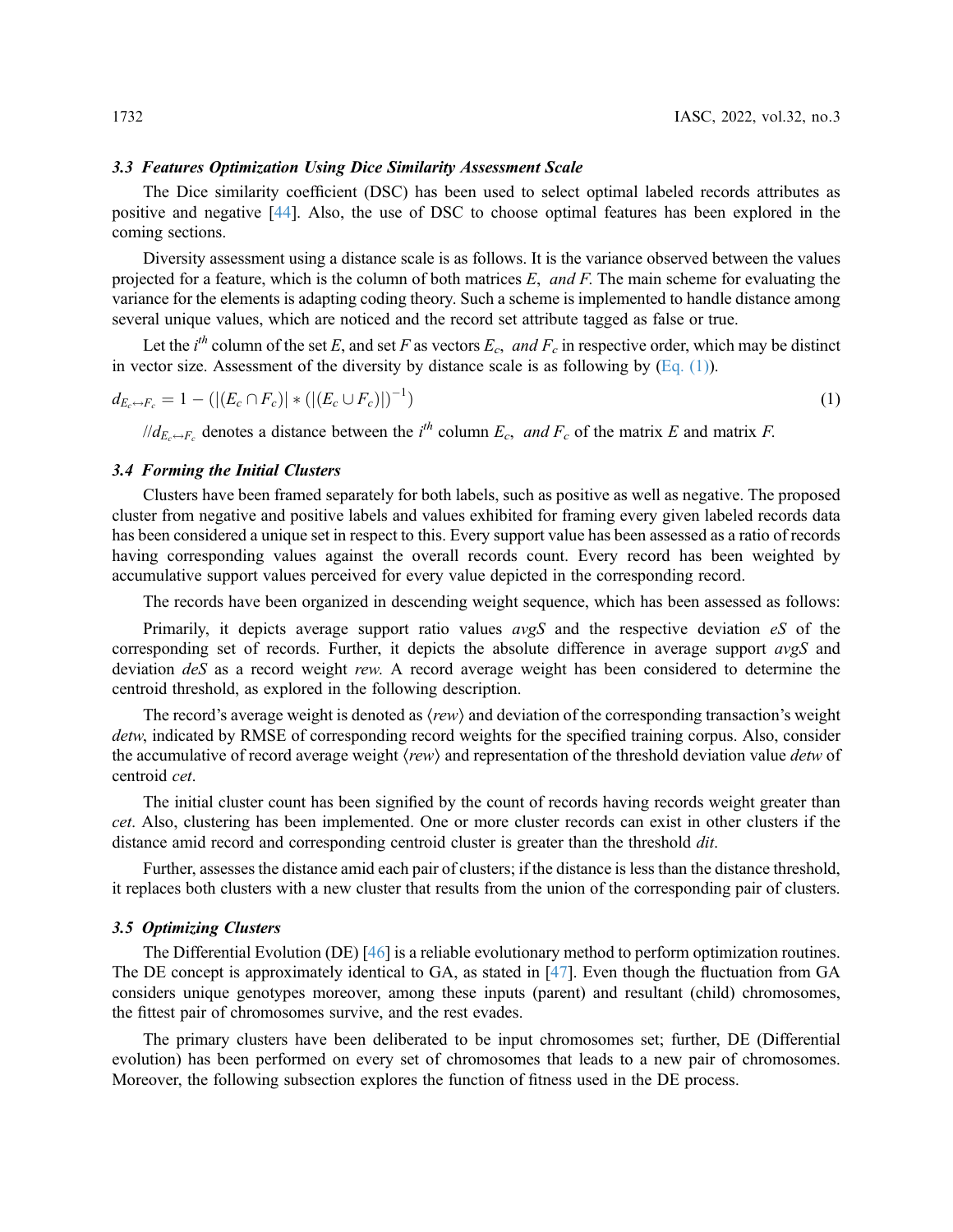The Dice similarity coefficient (DSC) has been used to select optimal labeled records attributes as positive and negative [\[44](#page-12-17)]. Also, the use of DSC to choose optimal features has been explored in the coming sections.

Diversity assessment using a distance scale is as follows. It is the variance observed between the values projected for a feature, which is the column of both matrices  $E$ , and  $F$ . The main scheme for evaluating the variance for the elements is adapting coding theory. Such a scheme is implemented to handle distance among several unique values, which are noticed and the record set attribute tagged as false or true.

<span id="page-3-0"></span>Let the *i*<sup>th</sup> column of the set E, and set F as vectors  $E_c$ , and  $F_c$  in respective order, which may be distinct in vector size. Assessment of the diversity by distance scale is as following by  $(Eq. (1))$ .

$$
d_{E_c \leftrightarrow F_c} = 1 - (|(E_c \cap F_c)| * (|(E_c \cup F_c)|)^{-1})
$$
\n(1)

 $\ell/d_{E_c \to F_c}$  denotes a distance between the i<sup>th</sup> column  $E_c$ , and  $F_c$  of the matrix E and matrix F.

3.4 Forming the Initial Clusters Clusters have been framed separately for both labels, such as positive as well as negative. The proposed cluster from negative and positive labels and values exhibited for framing every given labeled records data has been considered a unique set in respect to this. Every support value has been assessed as a ratio of records having corresponding values against the overall records count. Every record has been weighted by accumulative support values perceived for every value depicted in the corresponding record.

The records have been organized in descending weight sequence, which has been assessed as follows:

Primarily, it depicts average support ratio values  $avgS$  and the respective deviation  $eS$  of the corresponding set of records. Further, it depicts the absolute difference in average support  $avgS$  and deviation deS as a record weight rew. A record average weight has been considered to determine the centroid threshold, as explored in the following description.

The record's average weight is denoted as  $\langle rew\rangle$  and deviation of the corresponding transaction's weight detw, indicated by RMSE of corresponding record weights for the specified training corpus. Also, consider the accumulative of record average weight  $\langle new \rangle$  and representation of the threshold deviation value *detw* of centroid cet.

The initial cluster count has been signified by the count of records having records weight greater than cet. Also, clustering has been implemented. One or more cluster records can exist in other clusters if the distance amid record and corresponding centroid cluster is greater than the threshold *dit*.

Further, assesses the distance amid each pair of clusters; if the distance is less than the distance threshold, it replaces both clusters with a new cluster that results from the union of the corresponding pair of clusters.

The Differential Evolution (DE) [[46](#page-12-19)] is a reliable evolutionary method to perform optimization routines. The DE concept is approximately identical to GA, as stated in [[47\]](#page-13-0). Even though the fluctuation from GA considers unique genotypes moreover, among these inputs (parent) and resultant (child) chromosomes, the fittest pair of chromosomes survive, and the rest evades.

The primary clusters have been deliberated to be input chromosomes set; further, DE (Differential evolution) has been performed on every set of chromosomes that leads to a new pair of chromosomes. Moreover, the following subsection explores the function of fitness used in the DE process.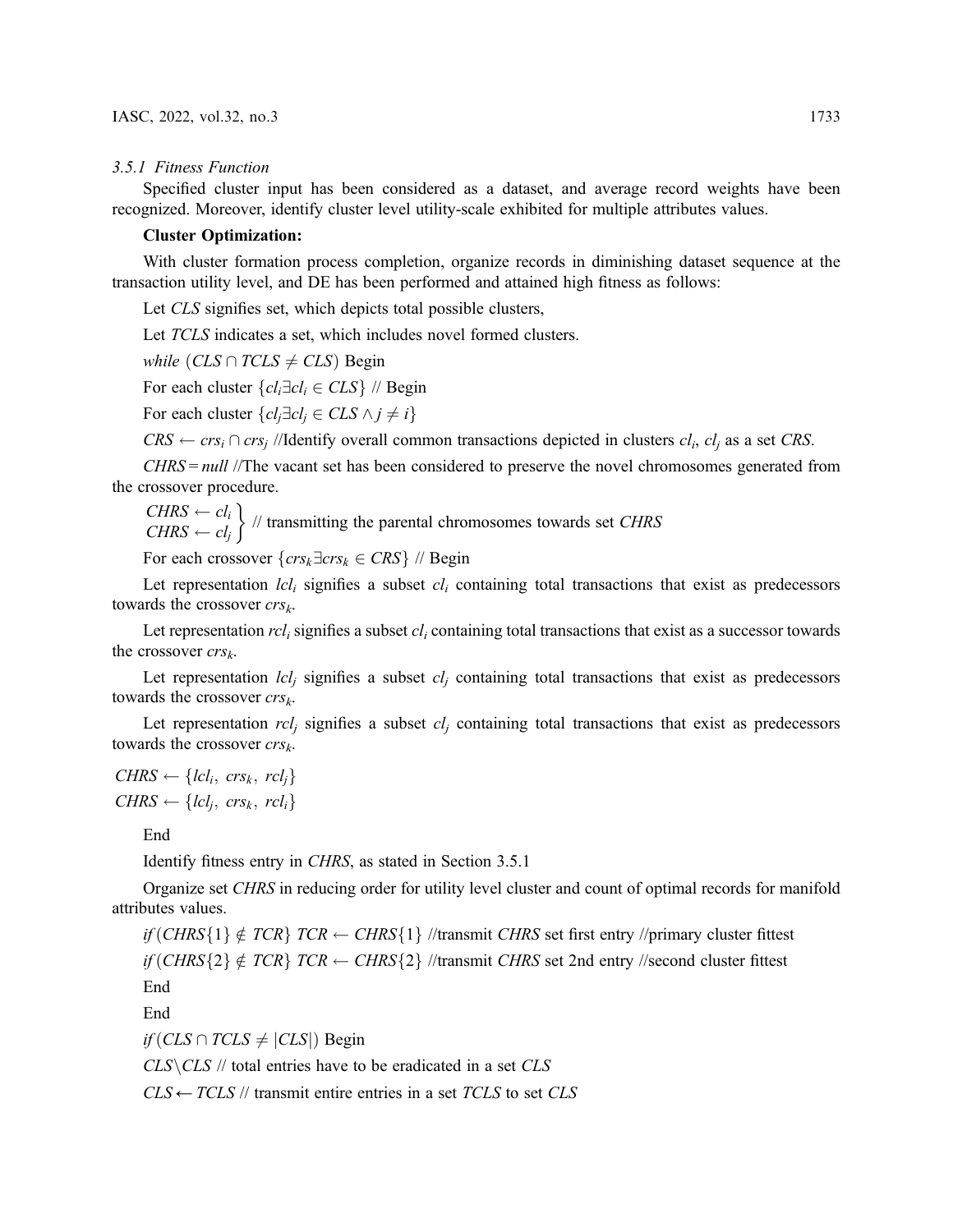#### 3.5.1 Fitness Function

Specified cluster input has been considered as a dataset, and average record weights have been recognized. Moreover, identify cluster level utility-scale exhibited for multiple attributes values.

#### Cluster Optimization:

With cluster formation process completion, organize records in diminishing dataset sequence at the transaction utility level, and DE has been performed and attained high fitness as follows:

Let CLS signifies set, which depicts total possible clusters,

Let TCLS indicates a set, which includes novel formed clusters.

while  $(CLS \cap TCLS \neq CLS)$  Begin

For each cluster  ${cl_i \exists cl_i \in CLS}$  // Begin

For each cluster  ${cl_i \exists cl_i \in CLS \land j \neq i}$ 

 $CRS \leftarrow crs_i \cap crs_j$  //Identify overall common transactions depicted in clusters  $cl_i$ ,  $cl_j$  as a set CRS.

 $CHRS = null$  //The vacant set has been considered to preserve the novel chromosomes generated from the crossover procedure.

 $CHRS \leftarrow cl_i$ <br> $CHRS \leftarrow cl_i$  $CHRS \leftarrow cl_j$  $\}$  // transmitting the parental chromosomes towards set *CHRS* 

For each crossover  $\{crs_k\exists crs_k \in CRS\}$  // Begin

Let representation  $lcl_i$  signifies a subset  $cl_i$  containing total transactions that exist as predecessors towards the crossover  $\mathit{crs}_k$ .

Let representation  $rcl_i$  signifies a subset  $cl_i$  containing total transactions that exist as a successor towards the crossover  $crs_k$ .

Let representation  $lcl_i$  signifies a subset  $cl_i$  containing total transactions that exist as predecessors towards the crossover  $\mathit{crs}_k$ .

Let representation  $rcl_j$  signifies a subset  $cl_j$  containing total transactions that exist as predecessors towards the crossover  $\mathit{crs}_k$ .

 $CHRS \leftarrow \{lcl_i, crs_k, rcl_i\}$  $CHRS \leftarrow \{lcl_i, crs_k, rcl_i\}$ 

End

Identify fitness entry in CHRS, as stated in Section 3.5.1

Organize set CHRS in reducing order for utility level cluster and count of optimal records for manifold attributes values.

if  $(\text{CHRS}\lbrace 1 \rbrace \notin \text{TCR} \rbrace$  TCR  $\leftarrow$  CHRS $\lbrace 1 \rbrace$  //transmit CHRS set first entry //primary cluster fittest if  $(\text{CHRS}\{2\} \notin \text{TCR}\{ \text{TCR} \leftarrow \text{CHRS}\{2\} \text{ //}$ transmit CHRS set 2nd entry //second cluster fittest

End

End

 $if (CLS \cap TCLS \neq |CLS|)$  Begin

 $CLS \, \times \, \text{CLS}$  // total entries have to be eradicated in a set  $CLS$ 

 $CLS \leftarrow TCLS$  // transmit entire entries in a set TCLS to set CLS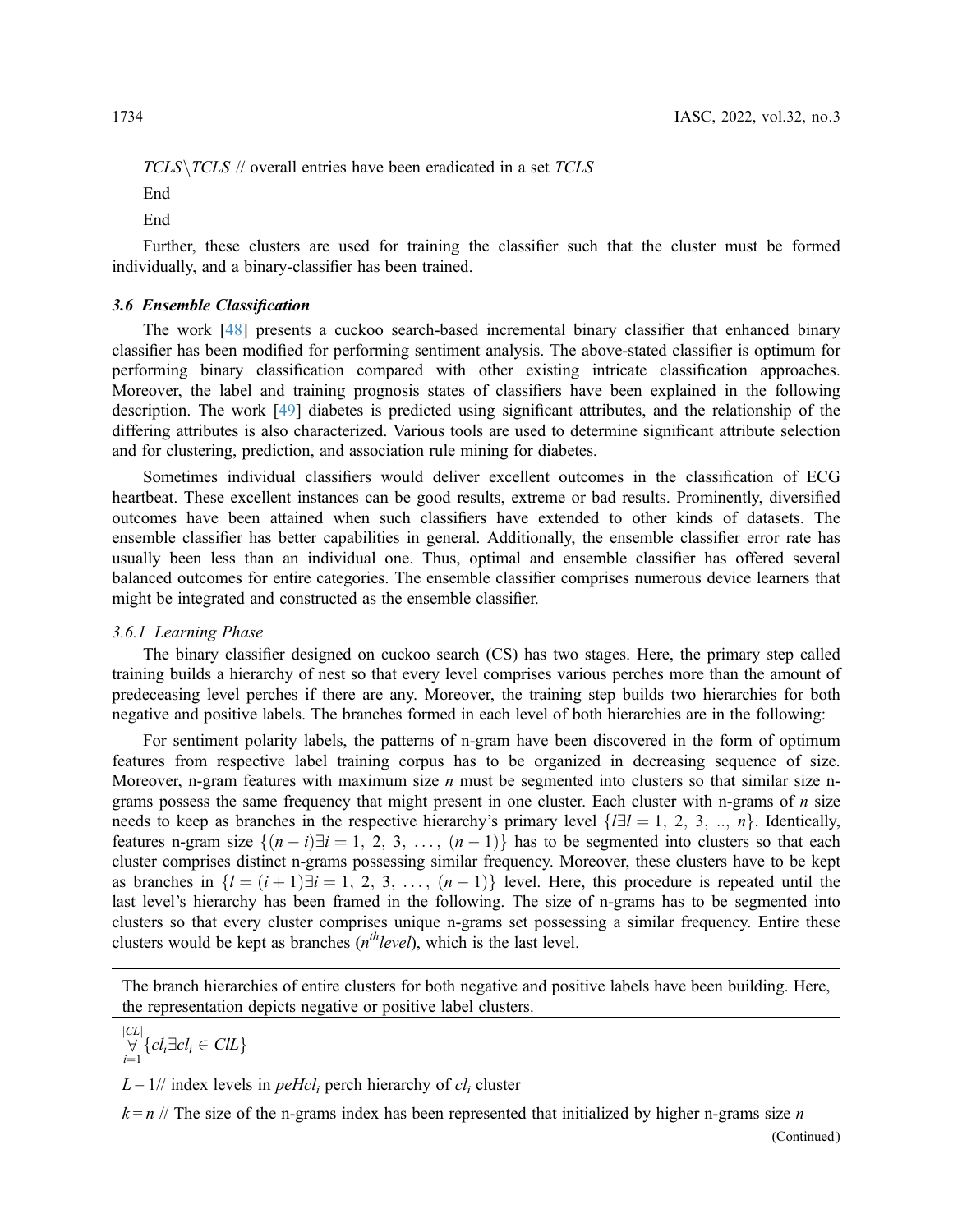$TCLS \, \text{TCLS}$  // overall entries have been eradicated in a set  $TCLS$ 

**End** 

**End** 

Further, these clusters are used for training the classifier such that the cluster must be formed individually, and a binary-classifier has been trained.

#### 3.6 Ensemble Classification

The work [[48\]](#page-13-1) presents a cuckoo search-based incremental binary classifier that enhanced binary classifier has been modified for performing sentiment analysis. The above-stated classifier is optimum for performing binary classification compared with other existing intricate classification approaches. Moreover, the label and training prognosis states of classifiers have been explained in the following description. The work [\[49](#page-13-2)] diabetes is predicted using significant attributes, and the relationship of the differing attributes is also characterized. Various tools are used to determine significant attribute selection and for clustering, prediction, and association rule mining for diabetes.

Sometimes individual classifiers would deliver excellent outcomes in the classification of ECG heartbeat. These excellent instances can be good results, extreme or bad results. Prominently, diversified outcomes have been attained when such classifiers have extended to other kinds of datasets. The ensemble classifier has better capabilities in general. Additionally, the ensemble classifier error rate has usually been less than an individual one. Thus, optimal and ensemble classifier has offered several balanced outcomes for entire categories. The ensemble classifier comprises numerous device learners that might be integrated and constructed as the ensemble classifier.

### 3.6.1 Learning Phase

The binary classifier designed on cuckoo search (CS) has two stages. Here, the primary step called training builds a hierarchy of nest so that every level comprises various perches more than the amount of predeceasing level perches if there are any. Moreover, the training step builds two hierarchies for both negative and positive labels. The branches formed in each level of both hierarchies are in the following:

For sentiment polarity labels, the patterns of n-gram have been discovered in the form of optimum features from respective label training corpus has to be organized in decreasing sequence of size. Moreover, n-gram features with maximum size  $n$  must be segmented into clusters so that similar size ngrams possess the same frequency that might present in one cluster. Each cluster with n-grams of  $n$  size needs to keep as branches in the respective hierarchy's primary level  $\{l \exists l = 1, 2, 3, ..., n\}$ . Identically, features n-gram size  $\{(n-i)\}\$ i = 1, 2, 3, ...,  $(n-1)\}$  has to be segmented into clusters so that each cluster comprises distinct n-grams possessing similar frequency. Moreover, these clusters have to be kept cluster comprises distinct n-grams possessing similar frequency. Moreover, these clusters have to be kept as branches in  $\{l = (i + 1)\}\exists i = 1, 2, 3, ..., (n - 1)\}$  level. Here, this procedure is repeated until the layel's hierarchy has been framed in the following. The size of n-grams has to be segmented into last level's hierarchy has been framed in the following. The size of n-grams has to be segmented into clusters so that every cluster comprises unique n-grams set possessing a similar frequency. Entire these clusters would be kept as branches  $(n<sup>th</sup> level)$ , which is the last level.

The branch hierarchies of entire clusters for both negative and positive labels have been building. Here, the representation depicts negative or positive label clusters.

$$
\bigvee_{i=1}^{|CL|} \{cl_i \exists cl_i \in ClL \}
$$

 $L = 1$ // index levels in *peHcl<sub>i</sub>* perch hierarchy of  $cl_i$  cluster

 $k = n / \sqrt{T}$  The size of the n-grams index has been represented that initialized by higher n-grams size n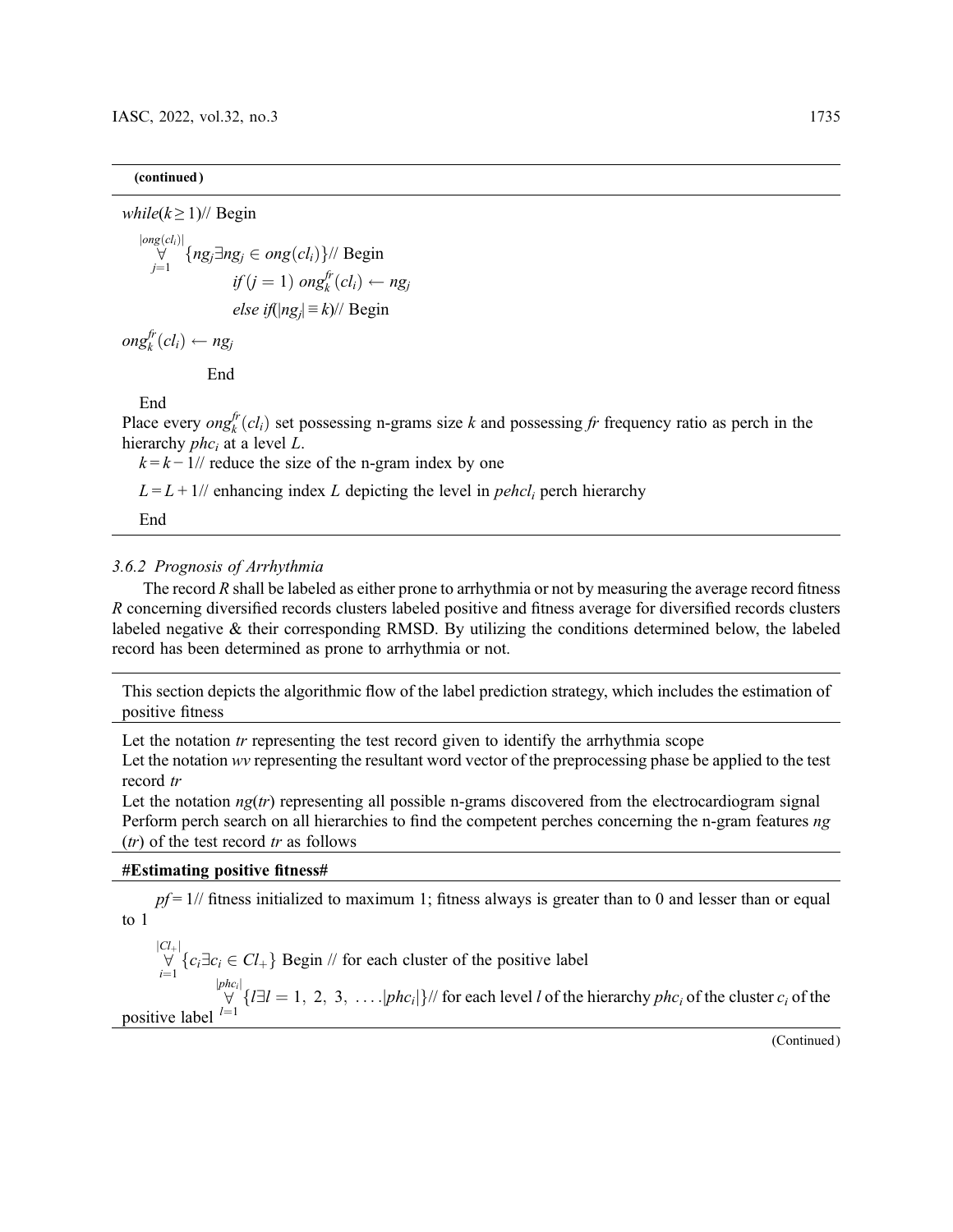## (continued )

while( $k \geq 1$ )// Begin jongð<sub>u</sub>

$$
\forall \forall |\{ng_j \exists ng_j \in ong(cl_i)\} / \text{Begin}
$$
\n
$$
if (j = 1) \text{ on } g_k^{fr}(cl_i) \leftarrow ng_j
$$
\n
$$
else \text{ if } (|ng_j| \equiv k) / \text{Begin}
$$

 $\textit{ong}_k^{\textit{fr}}(\textit{cl}_i) \leftarrow \textit{ng}_j$ 

End

End

Place every  $\text{ong}_k^{fr}(cl_i)$  set possessing n-grams size k and possessing fr frequency ratio as perch in the hierarchy nhc, at a level I hierarchy  $phc_i$  at a level L.

 $k = k - 1$ // reduce the size of the n-gram index by one

 $L = L + 1$ // enhancing index L depicting the level in *pehcl<sub>i</sub>* perch hierarchy

End

# 3.6.2 Prognosis of Arrhythmia

The record  $R$  shall be labeled as either prone to arrhythmia or not by measuring the average record fitness R concerning diversified records clusters labeled positive and fitness average for diversified records clusters labeled negative & their corresponding RMSD. By utilizing the conditions determined below, the labeled record has been determined as prone to arrhythmia or not.

This section depicts the algorithmic flow of the label prediction strategy, which includes the estimation of positive fitness

Let the notation  $tr$  representing the test record given to identify the arrhythmia scope

Let the notation wv representing the resultant word vector of the preprocessing phase be applied to the test record tr

Let the notation  $ng(tr)$  representing all possible n-grams discovered from the electrocardiogram signal Perform perch search on all hierarchies to find the competent perches concerning the n-gram features ng  $(tr)$  of the test record  $tr$  as follows

# #Estimating positive fitness#

 $pf = 1//$  fitness initialized to maximum 1; fitness always is greater than to 0 and lesser than or equal to 1

 $\sum_{i=1}^{\infty}$  $|\mathcal{C}_+|$ <br>  $\forall$  { $c_i \exists c_i \in \mathcal{C}_+$ } Begin // for each cluster of the positive label  $\frac{1}{\sqrt{2}}$  $|phc_i|$ positive label  $l=1$   $\forall$   $\{l\exists l=1, 2, 3, \ldots \vert phc_i\vert\}/l$  for each level *l* of the hierarchy  $phc_i$  of the cluster  $c_i$  of the positive label  $l=1$ 

(Continued)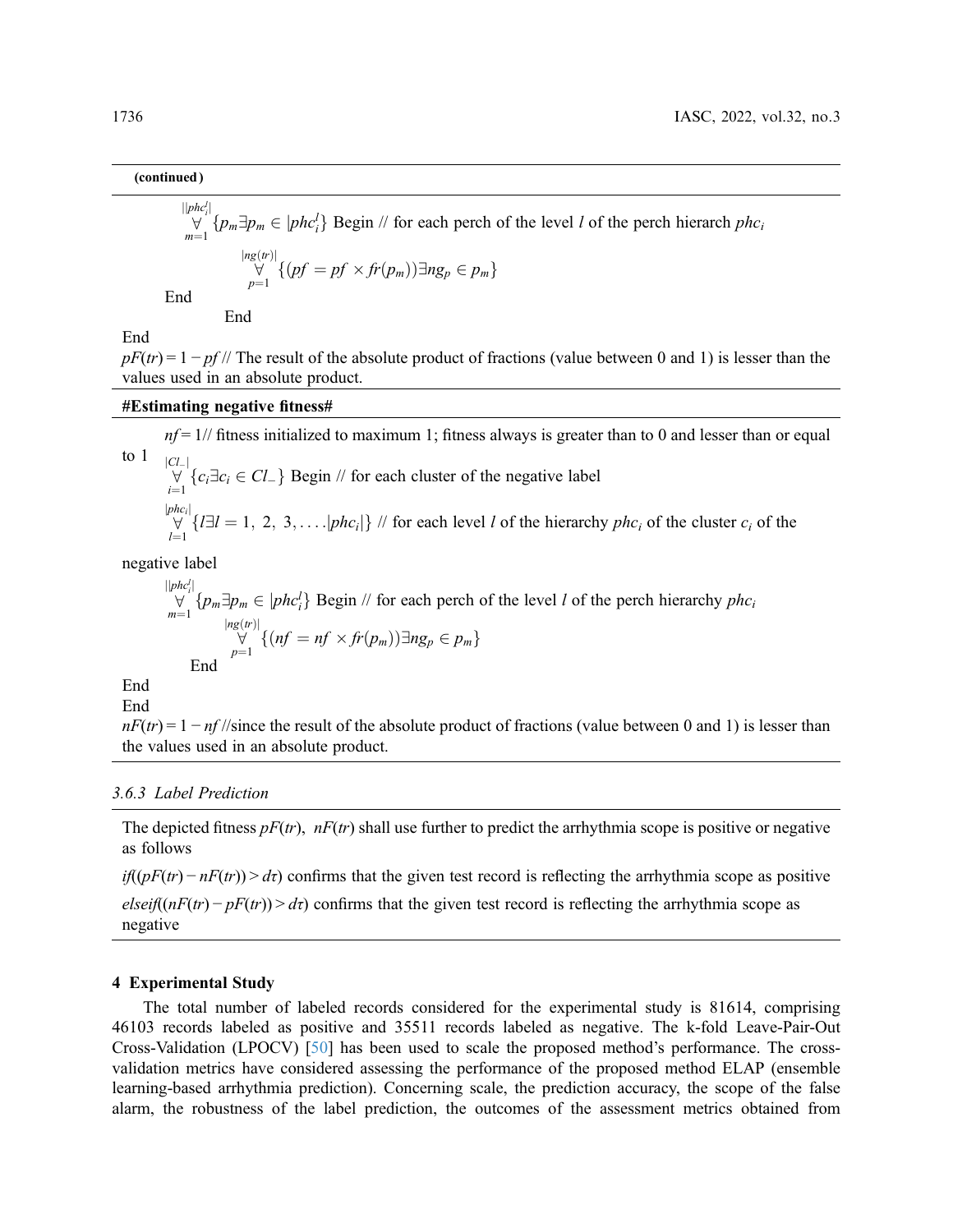# (continued )

$$
\bigvee_{m=1}^{\lvert phc_i^l \rvert} \{p_m \exists p_m \in \lvert phc_i^l\} \text{ Begin } / / \text{ for each perch of the level } l \text{ of the perch hierarchy } phc_i
$$
\n
$$
\bigvee_{p=1}^{\lvert ng(r) \rvert} \{ (pf = pf \times fr(p_m)) \exists ng_p \in p_m \}
$$
\nEnd

End

End

 $pF(tr) = 1 - pf$  // The result of the absolute product of fractions (value between 0 and 1) is lesser than the values used in an absolute product.

#### #Estimating negative fitness#

 $nf = 1//$  fitness initialized to maximum 1; fitness always is greater than to 0 and lesser than or equal to 1  $\frac{1}{\epsilon}$  $|Cl_{-}|$  $\forall$  { $c_i \exists c_i \in Cl_-$ } Begin // for each cluster of the negative label  $\frac{1}{\epsilon}$  $|phc_i|$  $\forall$  { $\exists l = 1, 2, 3, \ldots$   $\vert phc_i \vert$ } // for each level *l* of the hierarchy  $phc_i$  of the cluster  $c_i$  of the

negative label

$$
\bigvee_{m=1}^{\lvert \lvert phc_{i}^l \rvert} \{p_{m} \exists p_{m} \in \lvert phc_{i}^l\} \text{ Begin } \text{ // for each perch of the level } l \text{ of the perch hierarchy } phc_{i}
$$
\n
$$
\bigvee_{p=1}^{\lvert \lvert ng(tr) \rvert} \{ (nf = nf \times fr(p_{m})) \exists ng_{p} \in p_{m} \}
$$
\nEnd

End

End

 $nF(tr) = 1 - nf$ //since the result of the absolute product of fractions (value between 0 and 1) is lesser than the values used in an absolute product.

#### 3.6.3 Label Prediction

The depicted fitness  $pF(tr)$ ,  $nF(tr)$  shall use further to predict the arrhythmia scope is positive or negative as follows

 $if((pF(tr) - nF(tr)) > dr)$  confirms that the given test record is reflecting the arrhythmia scope as positive  $elseif((nF(tr) - pF(tr)) > dt)$  confirms that the given test record is reflecting the arrhythmia scope as negative

#### 4 Experimental Study

The total number of labeled records considered for the experimental study is 81614, comprising 46103 records labeled as positive and 35511 records labeled as negative. The k-fold Leave-Pair-Out Cross-Validation (LPOCV) [[50\]](#page-13-3) has been used to scale the proposed method's performance. The crossvalidation metrics have considered assessing the performance of the proposed method ELAP (ensemble learning-based arrhythmia prediction). Concerning scale, the prediction accuracy, the scope of the false alarm, the robustness of the label prediction, the outcomes of the assessment metrics obtained from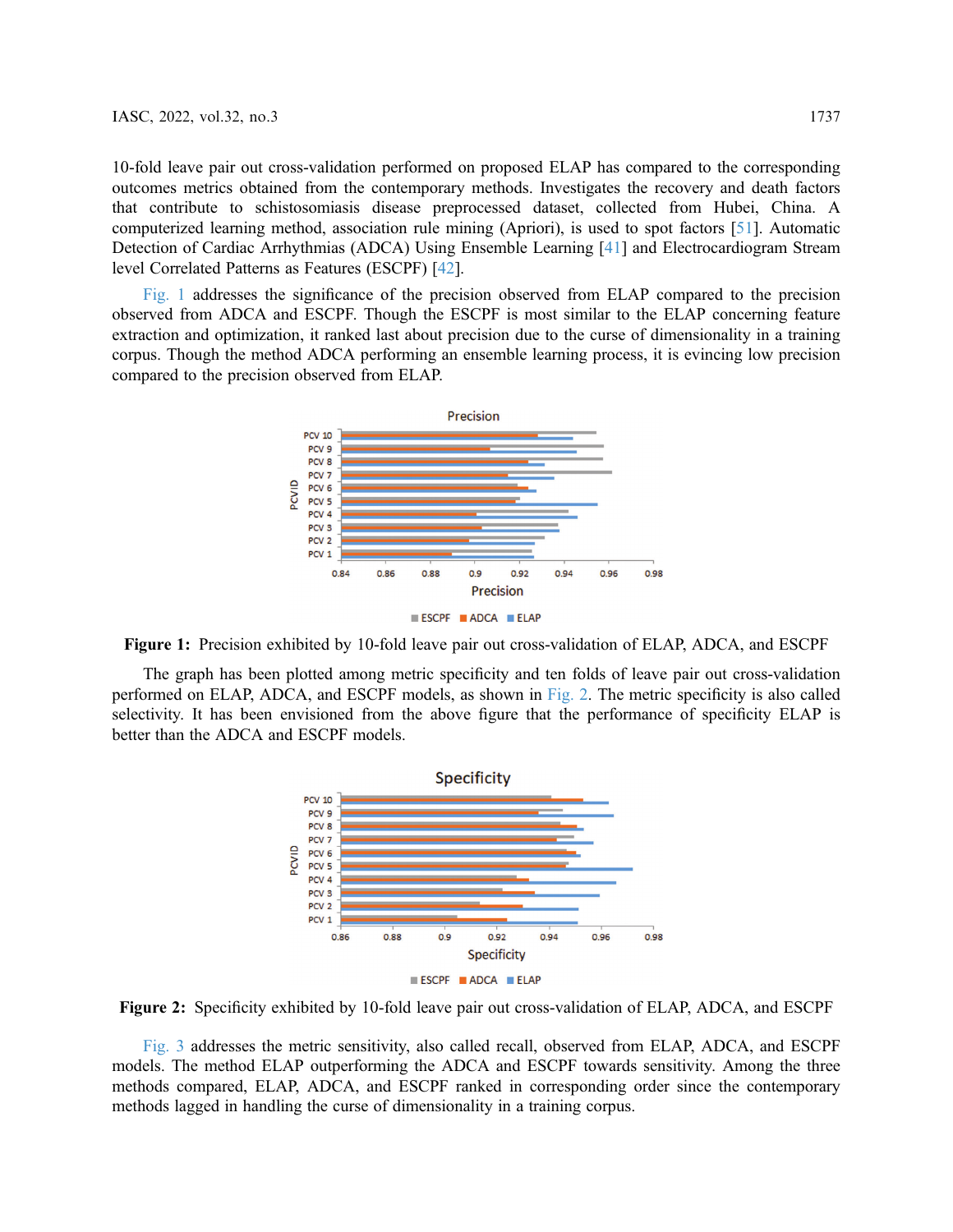10-fold leave pair out cross-validation performed on proposed ELAP has compared to the corresponding outcomes metrics obtained from the contemporary methods. Investigates the recovery and death factors that contribute to schistosomiasis disease preprocessed dataset, collected from Hubei, China. A computerized learning method, association rule mining (Apriori), is used to spot factors [\[51](#page-13-4)]. Automatic Detection of Cardiac Arrhythmias (ADCA) Using Ensemble Learning [[41\]](#page-12-14) and Electrocardiogram Stream level Correlated Patterns as Features (ESCPF) [\[42](#page-12-15)].

<span id="page-8-0"></span>[Fig. 1](#page-8-0) addresses the significance of the precision observed from ELAP compared to the precision observed from ADCA and ESCPF. Though the ESCPF is most similar to the ELAP concerning feature extraction and optimization, it ranked last about precision due to the curse of dimensionality in a training corpus. Though the method ADCA performing an ensemble learning process, it is evincing low precision compared to the precision observed from ELAP.



Figure 1: Precision exhibited by 10-fold leave pair out cross-validation of ELAP, ADCA, and ESCPF

<span id="page-8-1"></span>The graph has been plotted among metric specificity and ten folds of leave pair out cross-validation performed on ELAP, ADCA, and ESCPF models, as shown in [Fig. 2.](#page-8-1) The metric specificity is also called selectivity. It has been envisioned from the above figure that the performance of specificity ELAP is better than the ADCA and ESCPF models.



Figure 2: Specificity exhibited by 10-fold leave pair out cross-validation of ELAP, ADCA, and ESCPF

[Fig. 3](#page-9-0) addresses the metric sensitivity, also called recall, observed from ELAP, ADCA, and ESCPF models. The method ELAP outperforming the ADCA and ESCPF towards sensitivity. Among the three methods compared, ELAP, ADCA, and ESCPF ranked in corresponding order since the contemporary methods lagged in handling the curse of dimensionality in a training corpus.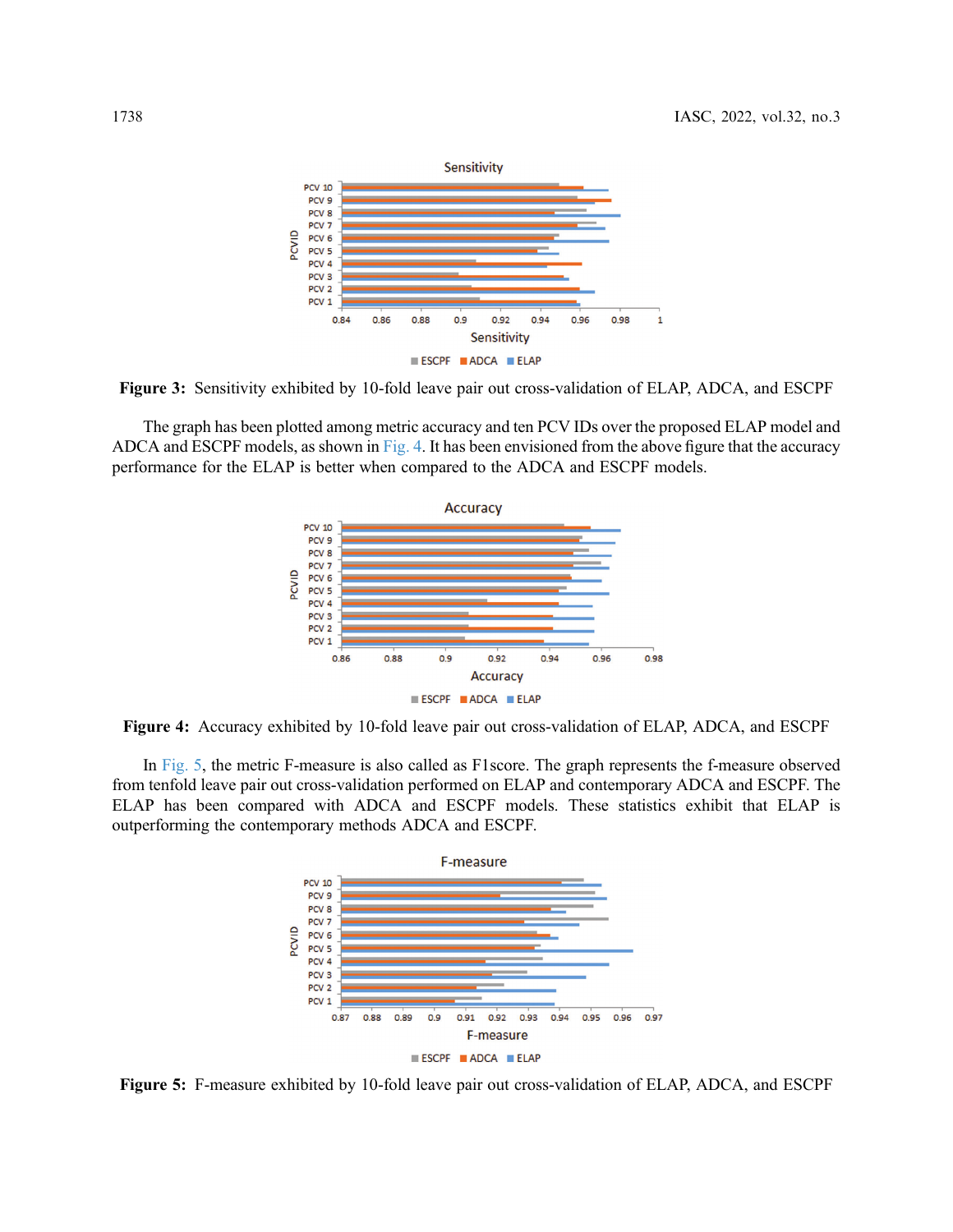<span id="page-9-0"></span>

Figure 3: Sensitivity exhibited by 10-fold leave pair out cross-validation of ELAP, ADCA, and ESCPF

<span id="page-9-1"></span>The graph has been plotted among metric accuracy and ten PCV IDs over the proposed ELAP model and ADCA and ESCPF models, as shown in [Fig. 4](#page-9-1). It has been envisioned from the above figure that the accuracy performance for the ELAP is better when compared to the ADCA and ESCPF models.



Figure 4: Accuracy exhibited by 10-fold leave pair out cross-validation of ELAP, ADCA, and ESCPF

<span id="page-9-2"></span>In [Fig. 5,](#page-9-2) the metric F-measure is also called as F1score. The graph represents the f-measure observed from tenfold leave pair out cross-validation performed on ELAP and contemporary ADCA and ESCPF. The ELAP has been compared with ADCA and ESCPF models. These statistics exhibit that ELAP is outperforming the contemporary methods ADCA and ESCPF.



Figure 5: F-measure exhibited by 10-fold leave pair out cross-validation of ELAP, ADCA, and ESCPF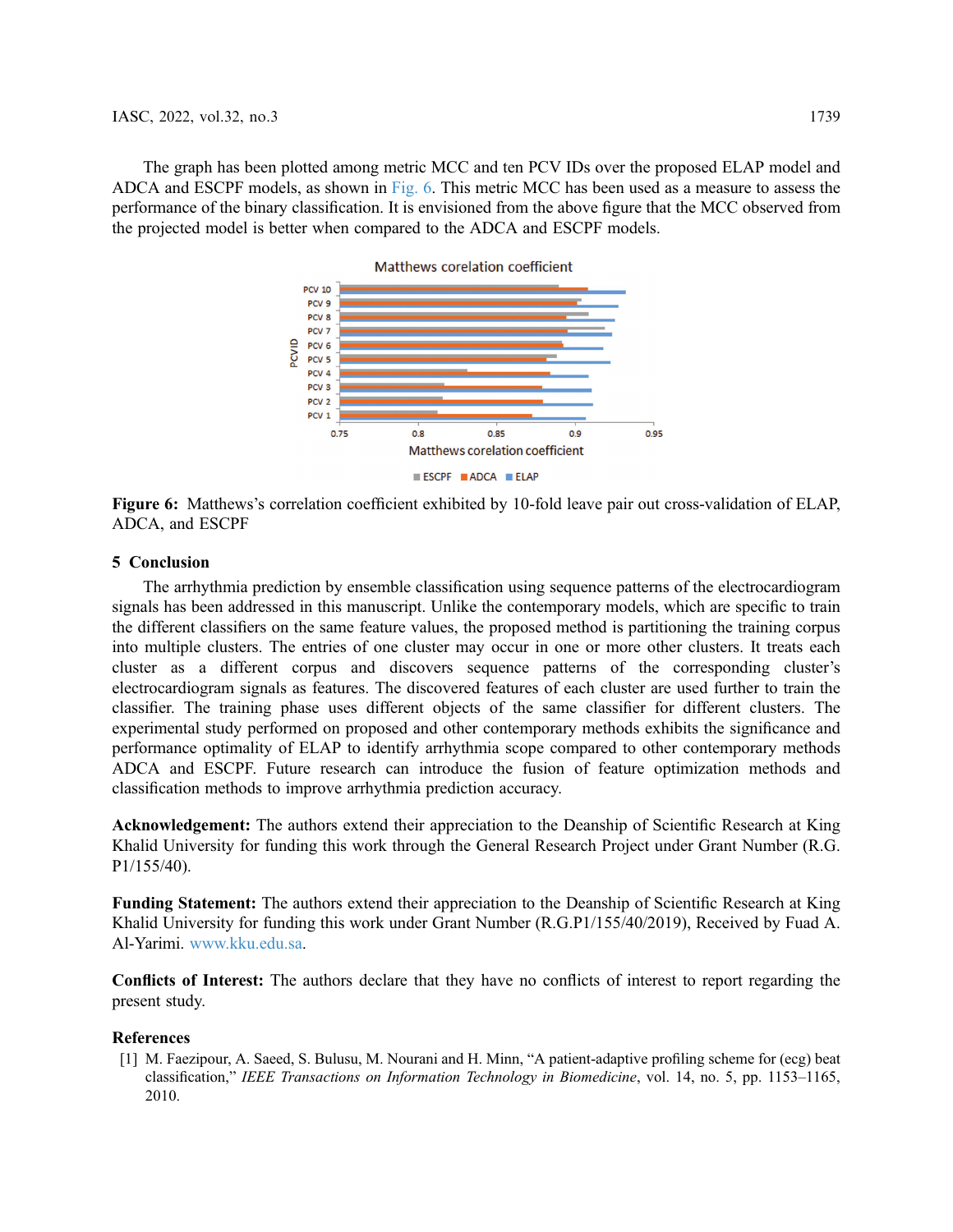<span id="page-10-1"></span>The graph has been plotted among metric MCC and ten PCV IDs over the proposed ELAP model and ADCA and ESCPF models, as shown in [Fig. 6](#page-10-1). This metric MCC has been used as a measure to assess the performance of the binary classification. It is envisioned from the above figure that the MCC observed from the projected model is better when compared to the ADCA and ESCPF models.



Figure 6: Matthews's correlation coefficient exhibited by 10-fold leave pair out cross-validation of ELAP, ADCA, and ESCPF

### 5 Conclusion

The arrhythmia prediction by ensemble classification using sequence patterns of the electrocardiogram signals has been addressed in this manuscript. Unlike the contemporary models, which are specific to train the different classifiers on the same feature values, the proposed method is partitioning the training corpus into multiple clusters. The entries of one cluster may occur in one or more other clusters. It treats each cluster as a different corpus and discovers sequence patterns of the corresponding cluster's electrocardiogram signals as features. The discovered features of each cluster are used further to train the classifier. The training phase uses different objects of the same classifier for different clusters. The experimental study performed on proposed and other contemporary methods exhibits the significance and performance optimality of ELAP to identify arrhythmia scope compared to other contemporary methods ADCA and ESCPF. Future research can introduce the fusion of feature optimization methods and classification methods to improve arrhythmia prediction accuracy.

Acknowledgement: The authors extend their appreciation to the Deanship of Scientific Research at King Khalid University for funding this work through the General Research Project under Grant Number (R.G. P1/155/40).

Funding Statement: The authors extend their appreciation to the Deanship of Scientific Research at King Khalid University for funding this work under Grant Number (R.G.P1/155/40/2019), Received by Fuad A. Al-Yarimi. [www.kku.edu.sa](https://www.kku.edu.sa).

Conflicts of Interest: The authors declare that they have no conflicts of interest to report regarding the present study.

#### **References**

<span id="page-10-0"></span>[1] M. Faezipour, A. Saeed, S. Bulusu, M. Nourani and H. Minn, "A patient-adaptive profiling scheme for (ecg) beat classification," IEEE Transactions on Information Technology in Biomedicine, vol. 14, no. 5, pp. 1153–1165, 2010.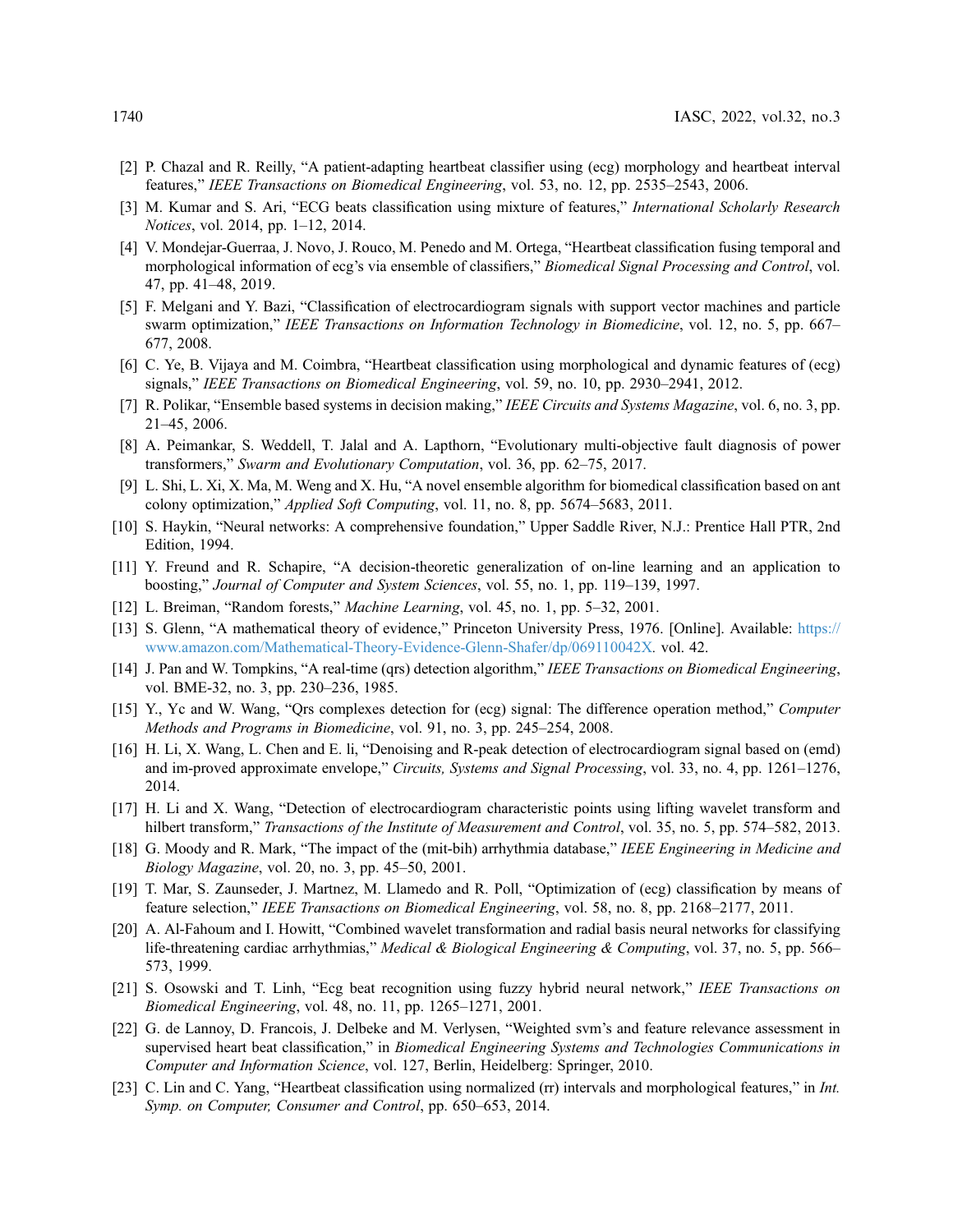- <span id="page-11-0"></span>[2] P. Chazal and R. Reilly, "A patient-adapting heartbeat classifier using (ecg) morphology and heartbeat interval features," IEEE Transactions on Biomedical Engineering, vol. 53, no. 12, pp. 2535–2543, 2006.
- <span id="page-11-1"></span>[3] M. Kumar and S. Ari, "ECG beats classification using mixture of features," International Scholarly Research Notices, vol. 2014, pp. 1–12, 2014.
- <span id="page-11-2"></span>[4] V. Mondejar-Guerraa, J. Novo, J. Rouco, M. Penedo and M. Ortega, "Heartbeat classification fusing temporal and morphological information of ecg's via ensemble of classifiers," Biomedical Signal Processing and Control, vol. 47, pp. 41–48, 2019.
- <span id="page-11-4"></span>[5] F. Melgani and Y. Bazi, "Classification of electrocardiogram signals with support vector machines and particle swarm optimization," IEEE Transactions on Information Technology in Biomedicine, vol. 12, no. 5, pp. 667– 677, 2008.
- <span id="page-11-3"></span>[6] C. Ye, B. Vijaya and M. Coimbra, "Heartbeat classification using morphological and dynamic features of (ecg) signals," IEEE Transactions on Biomedical Engineering, vol. 59, no. 10, pp. 2930–2941, 2012.
- <span id="page-11-5"></span>[7] R. Polikar, "Ensemble based systems in decision making," IEEE Circuits and Systems Magazine, vol. 6, no. 3, pp. 21–45, 2006.
- <span id="page-11-6"></span>[8] A. Peimankar, S. Weddell, T. Jalal and A. Lapthorn, "Evolutionary multi-objective fault diagnosis of power transformers," Swarm and Evolutionary Computation, vol. 36, pp. 62–75, 2017.
- <span id="page-11-7"></span>[9] L. Shi, L. Xi, X. Ma, M. Weng and X. Hu, "A novel ensemble algorithm for biomedical classification based on ant colony optimization," Applied Soft Computing, vol. 11, no. 8, pp. 5674–5683, 2011.
- <span id="page-11-8"></span>[10] S. Haykin, "Neural networks: A comprehensive foundation," Upper Saddle River, N.J.: Prentice Hall PTR, 2nd Edition, 1994.
- <span id="page-11-9"></span>[11] Y. Freund and R. Schapire, "A decision-theoretic generalization of on-line learning and an application to boosting," Journal of Computer and System Sciences, vol. 55, no. 1, pp. 119–139, 1997.
- <span id="page-11-10"></span>[12] L. Breiman, "Random forests," Machine Learning, vol. 45, no. 1, pp. 5–32, 2001.
- <span id="page-11-11"></span>[13] S. Glenn, "A mathematical theory of evidence," Princeton University Press, 1976. [Online]. Available: [https://](https://www.amazon.com/Mathematical-Theory-Evidence-Glenn-Shafer/dp/069110042X) [www.amazon.com/Mathematical-Theory-Evidence-Glenn-Shafer/dp/069110042X](https://www.amazon.com/Mathematical-Theory-Evidence-Glenn-Shafer/dp/069110042X). vol. 42.
- <span id="page-11-12"></span>[14] J. Pan and W. Tompkins, "A real-time (qrs) detection algorithm," IEEE Transactions on Biomedical Engineering, vol. BME-32, no. 3, pp. 230–236, 1985.
- [15] Y., Yc and W. Wang, "Qrs complexes detection for (ecg) signal: The difference operation method," Computer Methods and Programs in Biomedicine, vol. 91, no. 3, pp. 245–254, 2008.
- [16] H. Li, X. Wang, L. Chen and E. li, "Denoising and R-peak detection of electrocardiogram signal based on (emd) and im-proved approximate envelope," Circuits, Systems and Signal Processing, vol. 33, no. 4, pp. 1261–1276, 2014.
- <span id="page-11-13"></span>[17] H. Li and X. Wang, "Detection of electrocardiogram characteristic points using lifting wavelet transform and hilbert transform," Transactions of the Institute of Measurement and Control, vol. 35, no. 5, pp. 574–582, 2013.
- <span id="page-11-14"></span>[18] G. Moody and R. Mark, "The impact of the (mit-bih) arrhythmia database," IEEE Engineering in Medicine and Biology Magazine, vol. 20, no. 3, pp. 45–50, 2001.
- <span id="page-11-15"></span>[19] T. Mar, S. Zaunseder, J. Martnez, M. Llamedo and R. Poll, "Optimization of (ecg) classification by means of feature selection," IEEE Transactions on Biomedical Engineering, vol. 58, no. 8, pp. 2168–2177, 2011.
- <span id="page-11-16"></span>[20] A. Al-Fahoum and I. Howitt, "Combined wavelet transformation and radial basis neural networks for classifying life-threatening cardiac arrhythmias," Medical & Biological Engineering & Computing, vol. 37, no. 5, pp. 566– 573, 1999.
- <span id="page-11-17"></span>[21] S. Osowski and T. Linh, "Ecg beat recognition using fuzzy hybrid neural network," IEEE Transactions on Biomedical Engineering, vol. 48, no. 11, pp. 1265–1271, 2001.
- <span id="page-11-18"></span>[22] G. de Lannoy, D. Francois, J. Delbeke and M. Verlysen, "Weighted svm's and feature relevance assessment in supervised heart beat classification," in Biomedical Engineering Systems and Technologies Communications in Computer and Information Science, vol. 127, Berlin, Heidelberg: Springer, 2010.
- <span id="page-11-19"></span>[23] C. Lin and C. Yang, "Heartbeat classification using normalized (rr) intervals and morphological features," in Int. Symp. on Computer, Consumer and Control, pp. 650–653, 2014.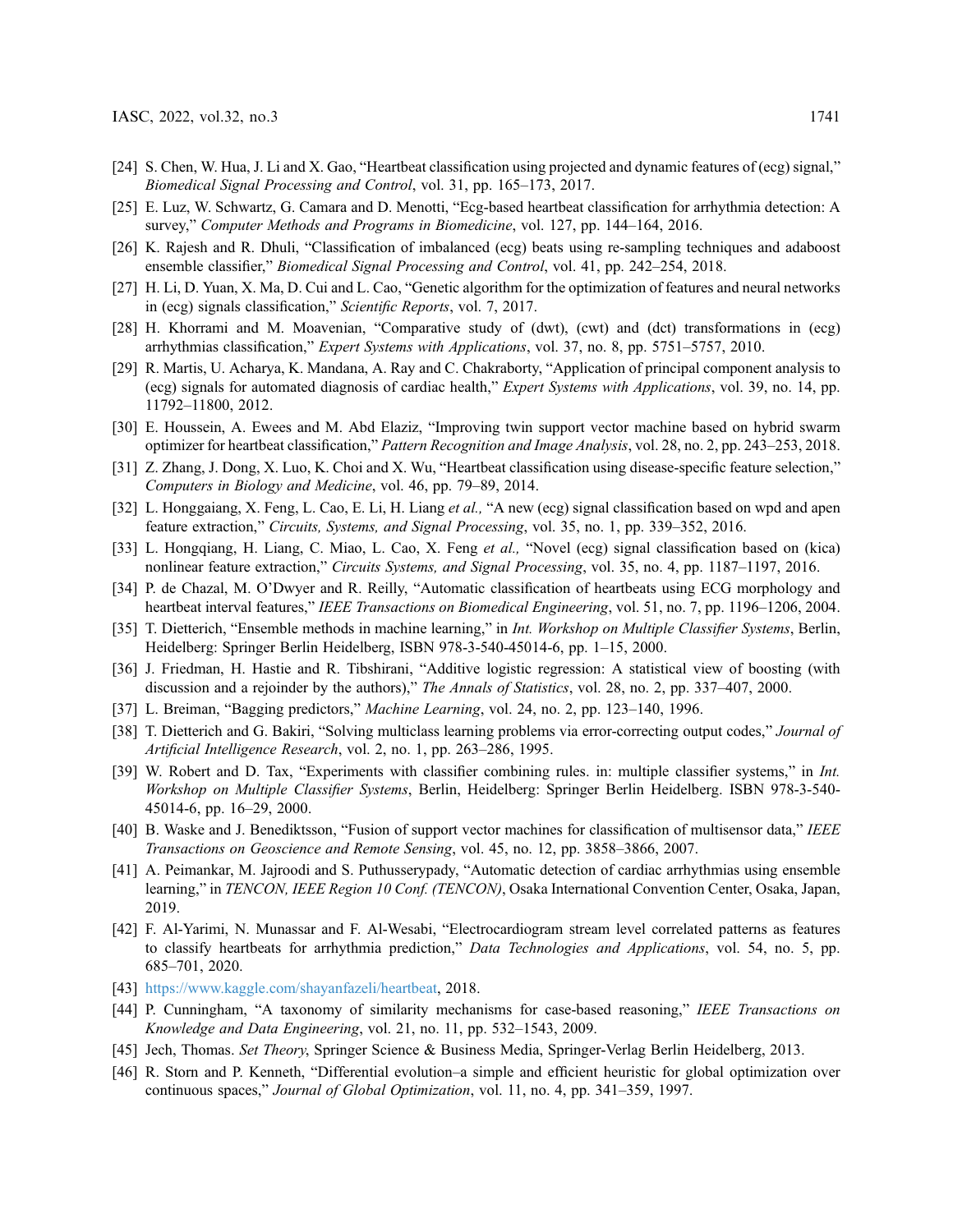- <span id="page-12-0"></span>[24] S. Chen, W. Hua, J. Li and X. Gao, "Heartbeat classification using projected and dynamic features of (ecg) signal," Biomedical Signal Processing and Control, vol. 31, pp. 165–173, 2017.
- <span id="page-12-1"></span>[25] E. Luz, W. Schwartz, G. Camara and D. Menotti, "Ecg-based heartbeat classification for arrhythmia detection: A survey," Computer Methods and Programs in Biomedicine, vol. 127, pp. 144–164, 2016.
- <span id="page-12-2"></span>[26] K. Rajesh and R. Dhuli, "Classification of imbalanced (ecg) beats using re-sampling techniques and adaboost ensemble classifier," Biomedical Signal Processing and Control, vol. 41, pp. 242–254, 2018.
- <span id="page-12-3"></span>[27] H. Li, D. Yuan, X. Ma, D. Cui and L. Cao, "Genetic algorithm for the optimization of features and neural networks in (ecg) signals classification," Scientific Reports, vol. 7, 2017.
- <span id="page-12-4"></span>[28] H. Khorrami and M. Moavenian, "Comparative study of (dwt), (cwt) and (dct) transformations in (ecg) arrhythmias classification," Expert Systems with Applications, vol. 37, no. 8, pp. 5751–5757, 2010.
- <span id="page-12-6"></span>[29] R. Martis, U. Acharya, K. Mandana, A. Ray and C. Chakraborty, "Application of principal component analysis to (ecg) signals for automated diagnosis of cardiac health," Expert Systems with Applications, vol. 39, no. 14, pp. 11792–11800, 2012.
- [30] E. Houssein, A. Ewees and M. Abd Elaziz, "Improving twin support vector machine based on hybrid swarm optimizer for heartbeat classification," Pattern Recognition and Image Analysis, vol. 28, no. 2, pp. 243–253, 2018.
- [31] Z. Zhang, J. Dong, X. Luo, K. Choi and X. Wu, "Heartbeat classification using disease-specific feature selection," Computers in Biology and Medicine, vol. 46, pp. 79–89, 2014.
- [32] L. Honggaiang, X. Feng, L. Cao, E. Li, H. Liang *et al.*, "A new (ecg) signal classification based on wpd and apen feature extraction," Circuits, Systems, and Signal Processing, vol. 35, no. 1, pp. 339–352, 2016.
- <span id="page-12-5"></span>[33] L. Hongqiang, H. Liang, C. Miao, L. Cao, X. Feng et al., "Novel (ecg) signal classification based on (kica) nonlinear feature extraction," Circuits Systems, and Signal Processing, vol. 35, no. 4, pp. 1187–1197, 2016.
- <span id="page-12-7"></span>[34] P. de Chazal, M. O'Dwyer and R. Reilly, "Automatic classification of heartbeats using ECG morphology and heartbeat interval features," IEEE Transactions on Biomedical Engineering, vol. 51, no. 7, pp. 1196–1206, 2004.
- <span id="page-12-8"></span>[35] T. Dietterich, "Ensemble methods in machine learning," in Int. Workshop on Multiple Classifier Systems, Berlin, Heidelberg: Springer Berlin Heidelberg, ISBN 978-3-540-45014-6, pp. 1–15, 2000.
- <span id="page-12-9"></span>[36] J. Friedman, H. Hastie and R. Tibshirani, "Additive logistic regression: A statistical view of boosting (with discussion and a rejoinder by the authors)," The Annals of Statistics, vol. 28, no. 2, pp. 337–407, 2000.
- <span id="page-12-10"></span>[37] L. Breiman, "Bagging predictors," Machine Learning, vol. 24, no. 2, pp. 123–140, 1996.
- <span id="page-12-11"></span>[38] T. Dietterich and G. Bakiri, "Solving multiclass learning problems via error-correcting output codes," Journal of Artificial Intelligence Research, vol. 2, no. 1, pp. 263–286, 1995.
- <span id="page-12-12"></span>[39] W. Robert and D. Tax, "Experiments with classifier combining rules. in: multiple classifier systems," in Int. Workshop on Multiple Classifier Systems, Berlin, Heidelberg: Springer Berlin Heidelberg. ISBN 978-3-540- 45014-6, pp. 16–29, 2000.
- <span id="page-12-13"></span>[40] B. Waske and J. Benediktsson, "Fusion of support vector machines for classification of multisensor data," IEEE Transactions on Geoscience and Remote Sensing, vol. 45, no. 12, pp. 3858–3866, 2007.
- <span id="page-12-14"></span>[41] A. Peimankar, M. Jajroodi and S. Puthusserypady, "Automatic detection of cardiac arrhythmias using ensemble learning," in TENCON, IEEE Region 10 Conf. (TENCON), Osaka International Convention Center, Osaka, Japan, 2019.
- <span id="page-12-15"></span>[42] F. Al-Yarimi, N. Munassar and F. Al-Wesabi, "Electrocardiogram stream level correlated patterns as features to classify heartbeats for arrhythmia prediction," Data Technologies and Applications, vol. 54, no. 5, pp. 685–701, 2020.
- <span id="page-12-16"></span>[43] [https://www.kaggle.com/shayanfazeli/heartbeat,](https://www.kaggle.com/shayanfazeli/heartbeat) 2018.
- <span id="page-12-17"></span>[44] P. Cunningham, "A taxonomy of similarity mechanisms for case-based reasoning," IEEE Transactions on Knowledge and Data Engineering, vol. 21, no. 11, pp. 532–1543, 2009.
- <span id="page-12-18"></span>[45] Jech, Thomas. Set Theory, Springer Science & Business Media, Springer-Verlag Berlin Heidelberg, 2013.
- <span id="page-12-19"></span>[46] R. Storn and P. Kenneth, "Differential evolution–a simple and efficient heuristic for global optimization over continuous spaces," Journal of Global Optimization, vol. 11, no. 4, pp. 341–359, 1997.